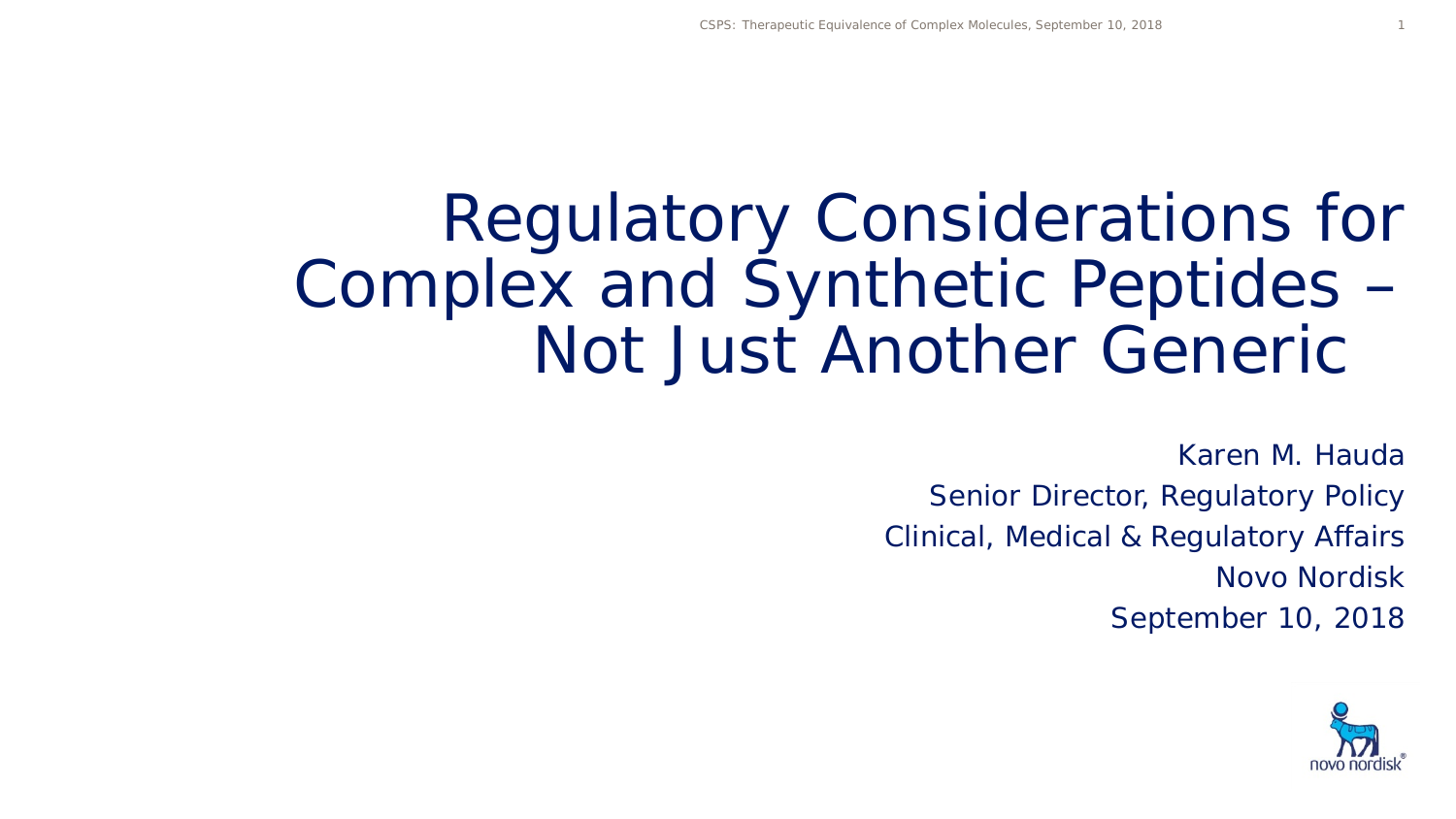# Regulatory Considerations for Complex and Synthetic Peptides – Not Just Another Generic

Karen M. Hauda Senior Director, Regulatory Policy Clinical, Medical & Regulatory Affairs Novo Nordisk September 10, 2018

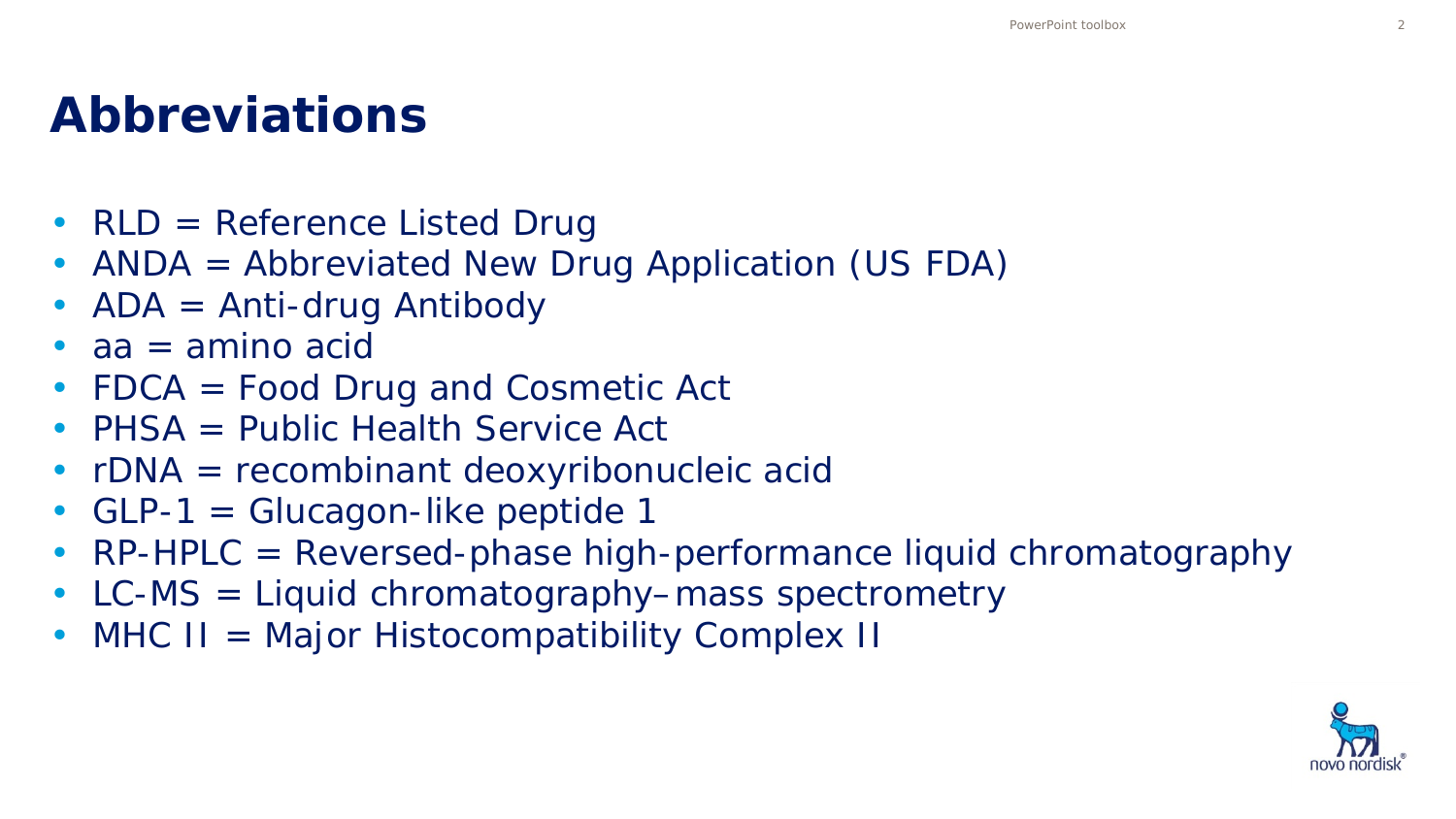#### **Abbreviations**

- RLD = Reference Listed Drug
- ANDA = Abbreviated New Drug Application (US FDA)
- $ADA = Anti-druq$  Antibody
- $aa = amina$  acid
- FDCA = Food Drug and Cosmetic Act
- PHSA = Public Health Service Act
- rDNA = recombinant deoxyribonucleic acid
- GLP-1 = Glucagon-like peptide 1
- RP-HPLC = Reversed-phase high-performance liquid chromatography
- LC-MS = Liquid chromatography–mass spectrometry
- MHC II = Major Histocompatibility Complex II

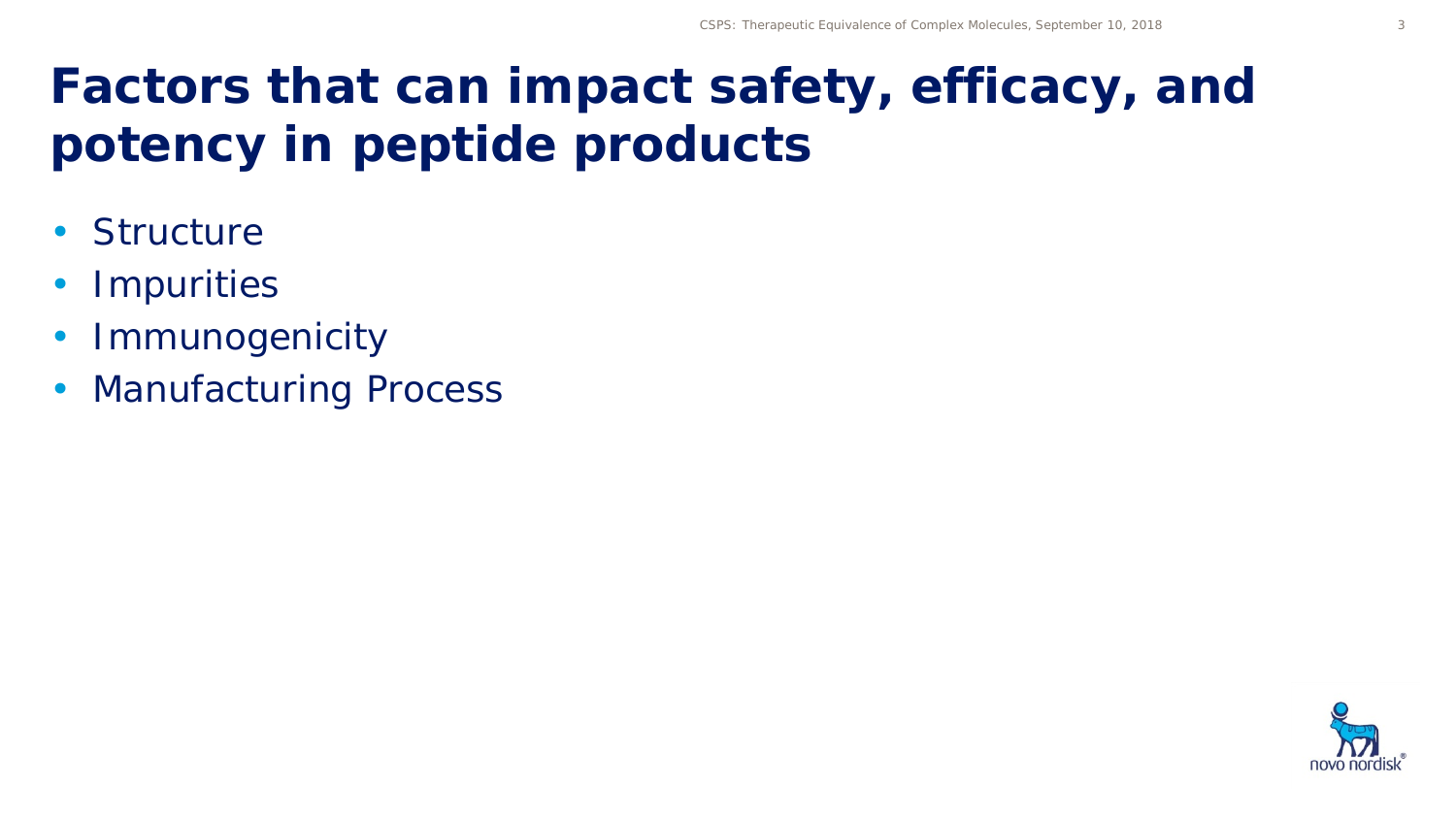## **Factors that can impact safety, efficacy, and potency in peptide products**

- Structure
- Impurities
- Immunogenicity
- Manufacturing Process

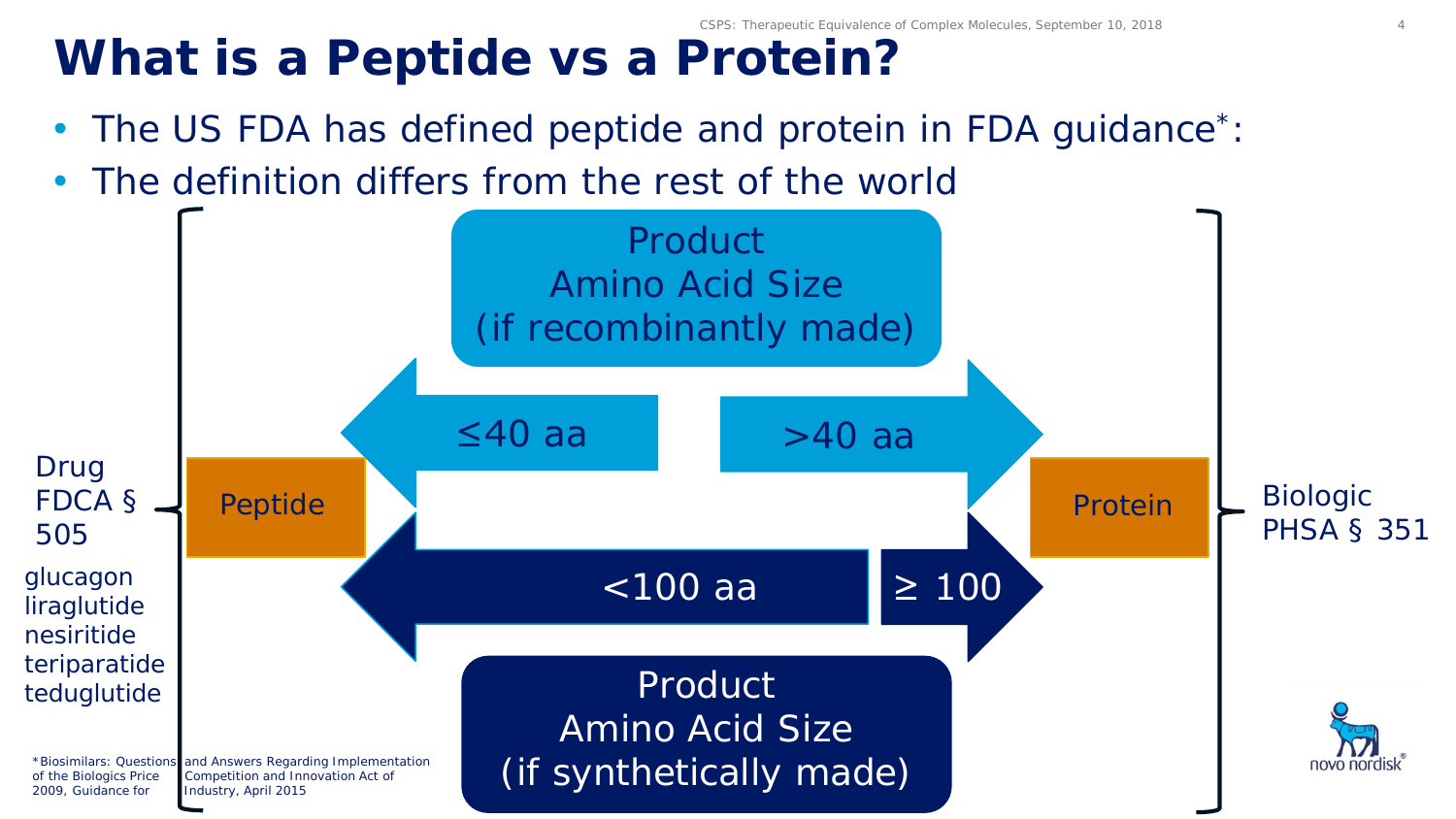## What is a Peptide vs a Protein?

- The US FDA has defined peptide and protein in FDA guidance<sup>\*</sup>:
- The definition differs from the rest of the world

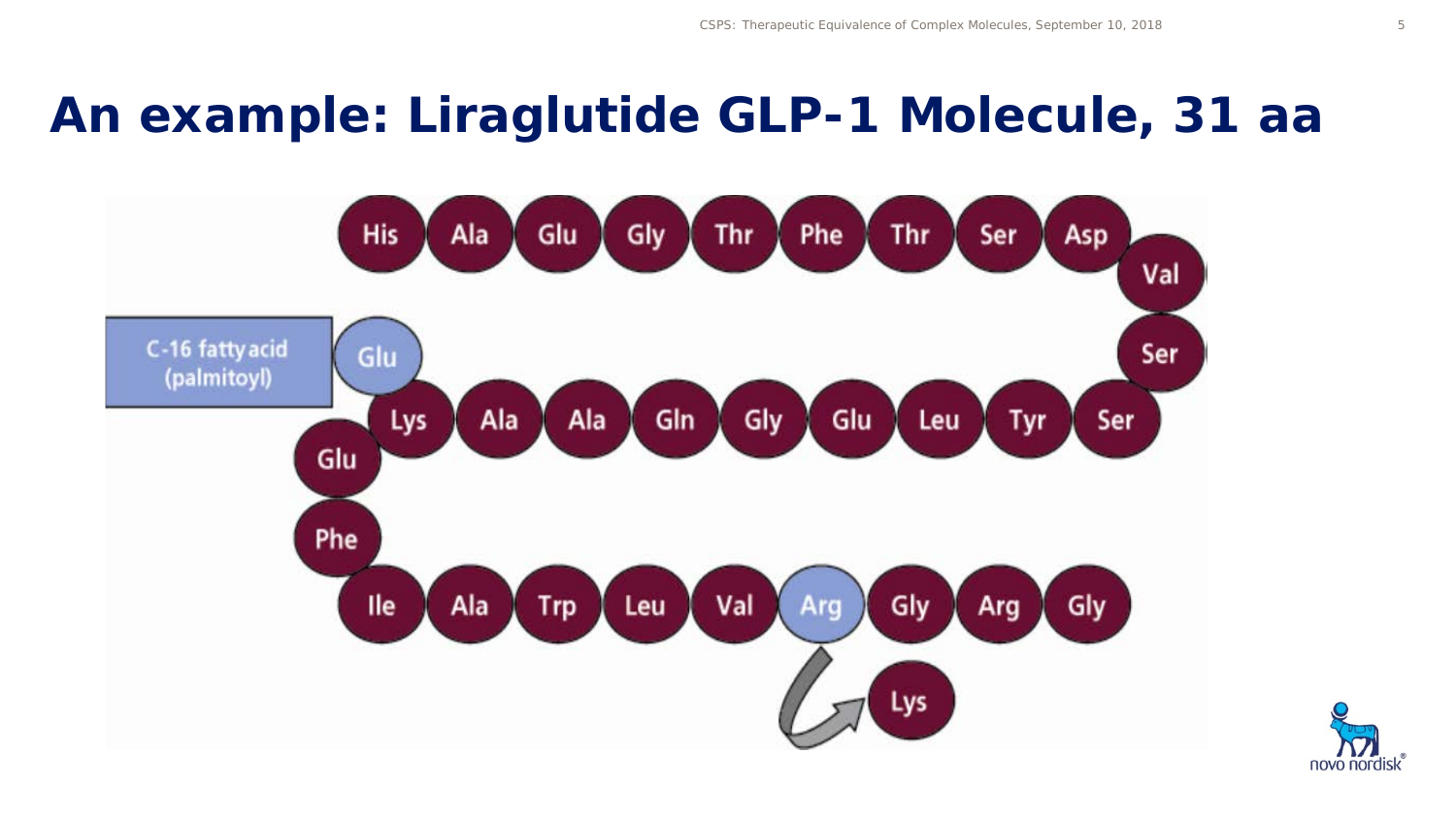#### **An example: Liraglutide GLP-1 Molecule, 31 aa**



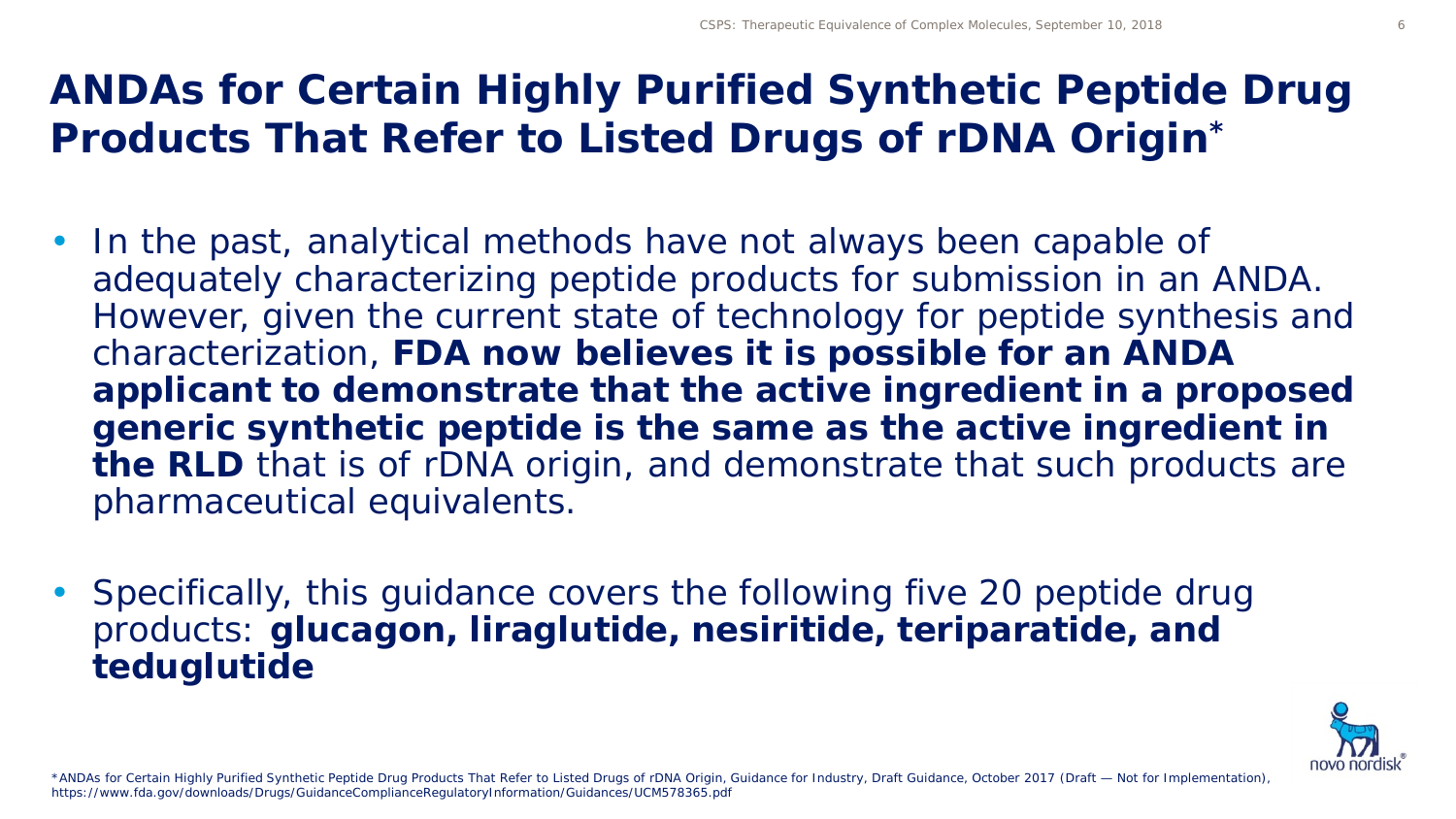#### **ANDAs for Certain Highly Purified Synthetic Peptide Drug Products That Refer to Listed Drugs of rDNA Origin\***

- In the past, analytical methods have not always been capable of adequately characterizing peptide products for submission in an ANDA. However, given the current state of technology for peptide synthesis and characterization, **FDA now believes it is possible for an ANDA applicant to demonstrate that the active ingredient in a proposed generic synthetic peptide is the same as the active ingredient in the RLD** that is of rDNA origin, and demonstrate that such products are pharmaceutical equivalents.
- Specifically, this guidance covers the following five 20 peptide drug products: **glucagon, liraglutide, nesiritide, teriparatide, and teduglutide**

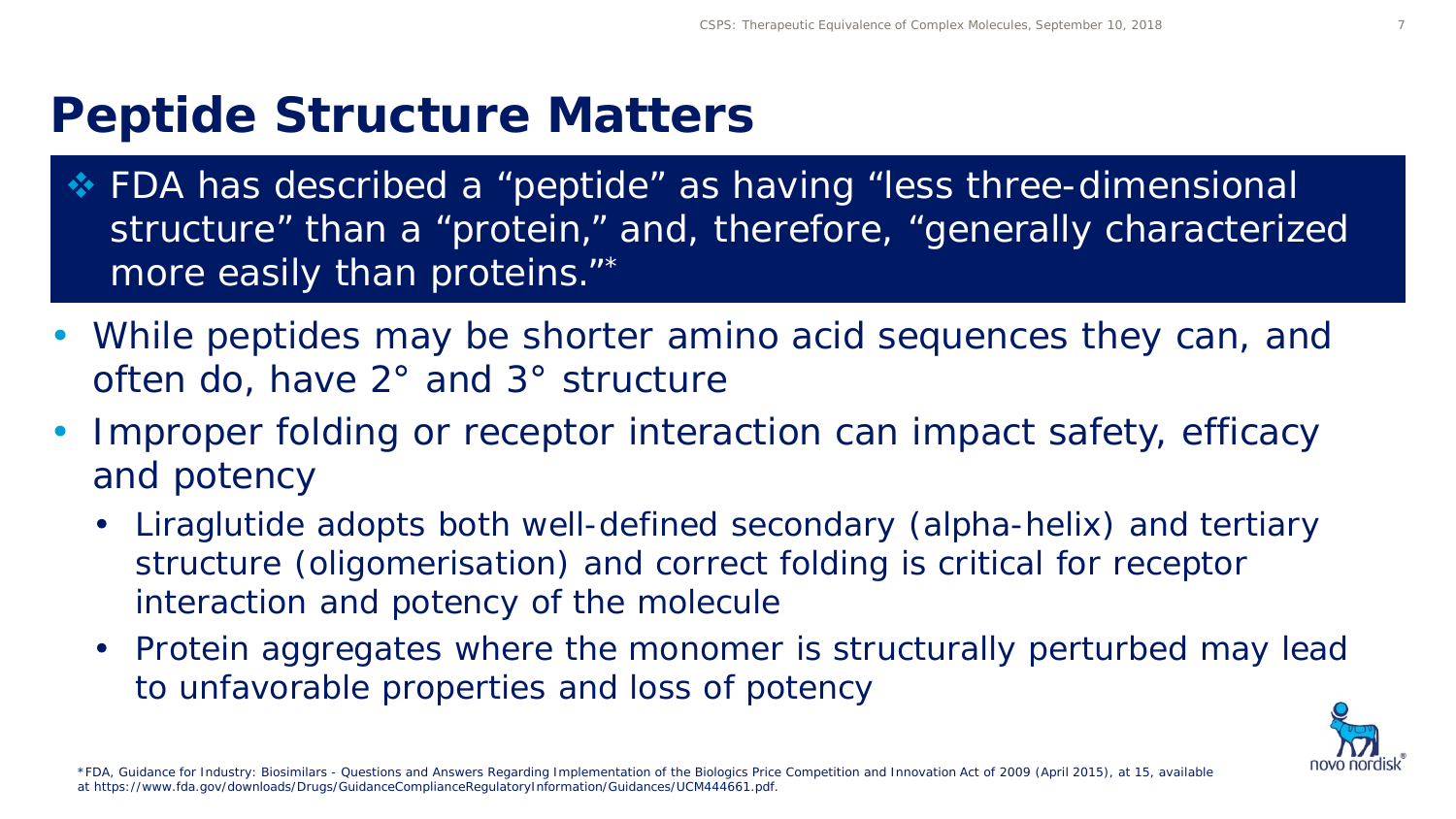#### **Peptide Structure Matters**

- FDA has described a "peptide" as having "less three-dimensional structure" than a "protein," and, therefore, "generally characterized more easily than proteins."\*
- While peptides may be shorter amino acid sequences they can, and often do, have 2° and 3° structure
- Improper folding or receptor interaction can impact safety, efficacy and potency
	- Liraglutide adopts both well-defined secondary (alpha-helix) and tertiary structure (oligomerisation) and correct folding is critical for receptor interaction and potency of the molecule
	- Protein aggregates where the monomer is structurally perturbed may lead to unfavorable properties and loss of potency

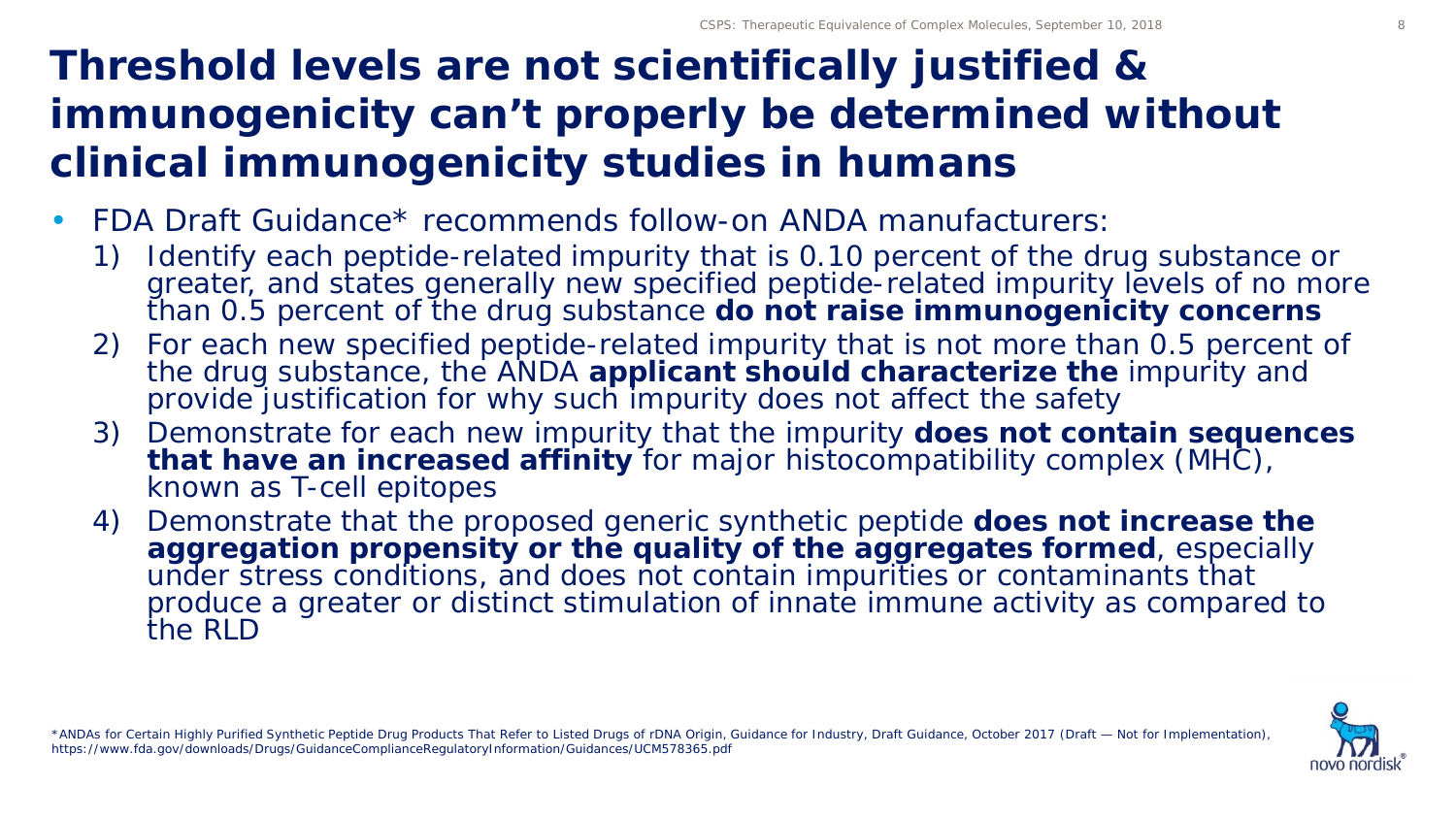#### **Threshold levels are not scientifically justified & immunogenicity can't properly be determined without clinical immunogenicity studies in humans**

- FDA Draft Guidance\* recommends follow-on ANDA manufacturers:
	- 1) Identify each peptide-related impurity that is 0.10 percent of the drug substance or greater, and states generally new specified peptide-related impurity levels of no more than 0.5 percent of the drug substance **do not raise immunogenicity concerns**
	- 2) For each new specified peptide-related impurity that is not more than 0.5 percent of the drug substance, the ANDA **applicant should characterize the** impurity and provide justification for why such impurity does not affect the safety
	- 3) Demonstrate for each new impurity that the impurity **does not contain sequences that have an increased affinity** for major histocompatibility complex (MHC), known as T-cell epitopes
	- 4) Demonstrate that the proposed generic synthetic peptide **does not increase the aggregation propensity or the quality of the aggregates formed**, especially under stress conditions, and does not contain impurities or contaminants that produce a greater or distinct stimulation of innate immune activity as compared to the RLD

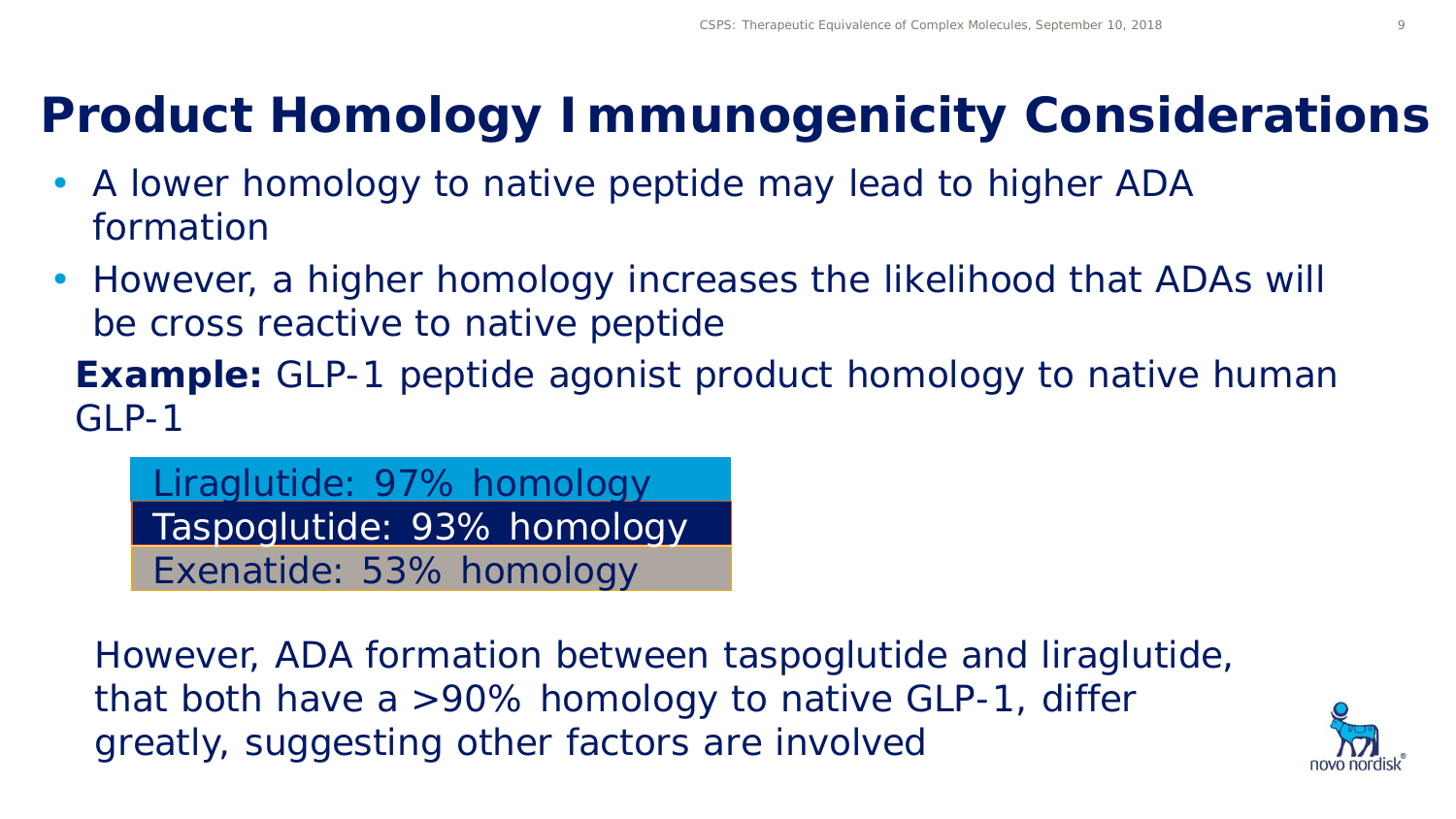### **Product Homology Immunogenicity Considerations**

- A lower homology to native peptide may lead to higher ADA formation
- However, a higher homology increases the likelihood that ADAs will be cross reactive to native peptide

**Example:** GLP-1 peptide agonist product homology to native human GLP-1

Liraglutide: 97% homology Taspoglutide: 93% homology Exenatide: 53% homology

However, ADA formation between taspoglutide and liraglutide, that both have a >90% homology to native GLP-1, differ greatly, suggesting other factors are involved

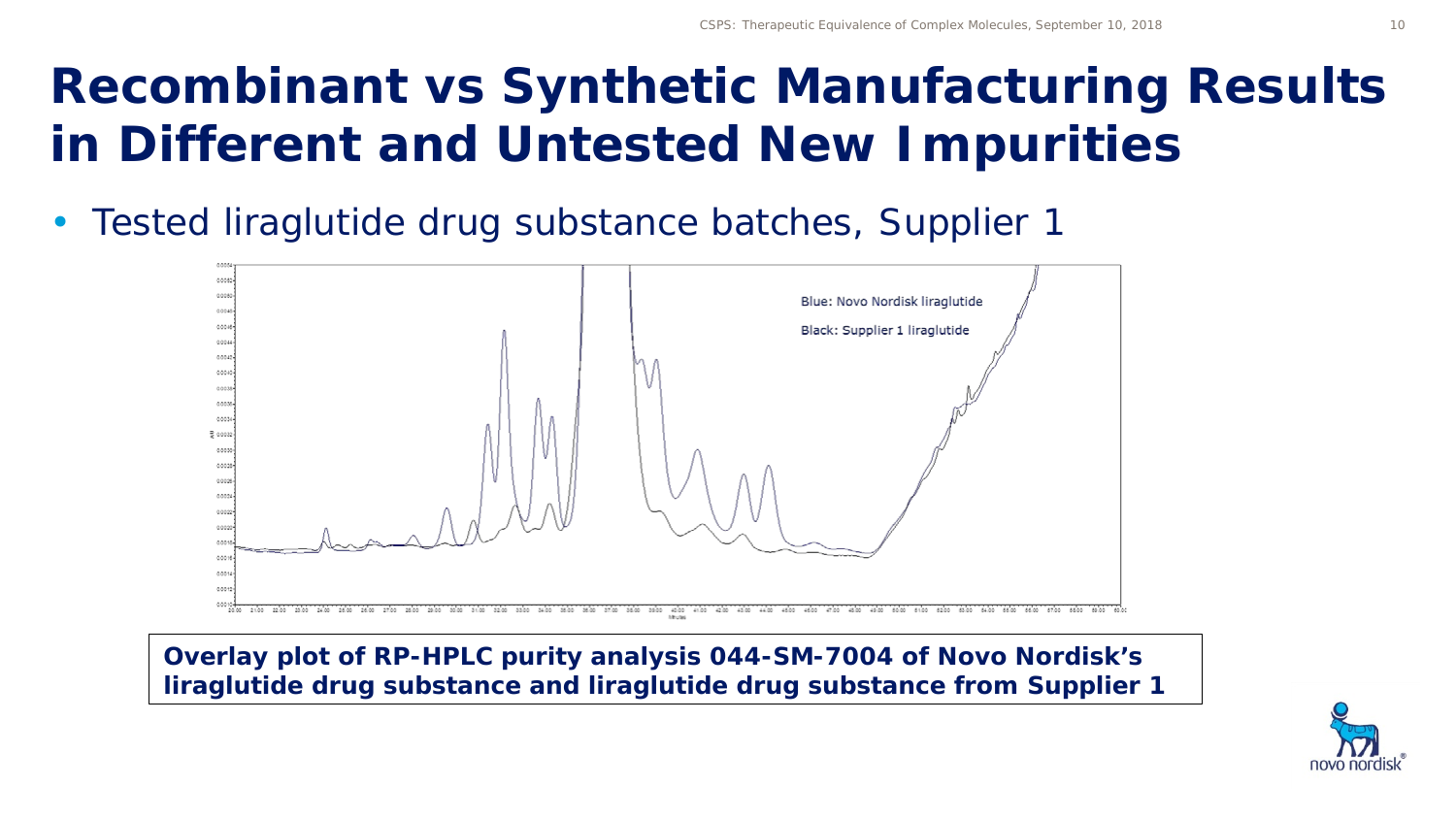• Tested liraglutide drug substance batches, Supplier 1



*Overlay plot of RP-HPLC purity analysis 044-SM-7004 of Novo Nordisk's liraglutide drug substance and liraglutide drug substance from Supplier 1*

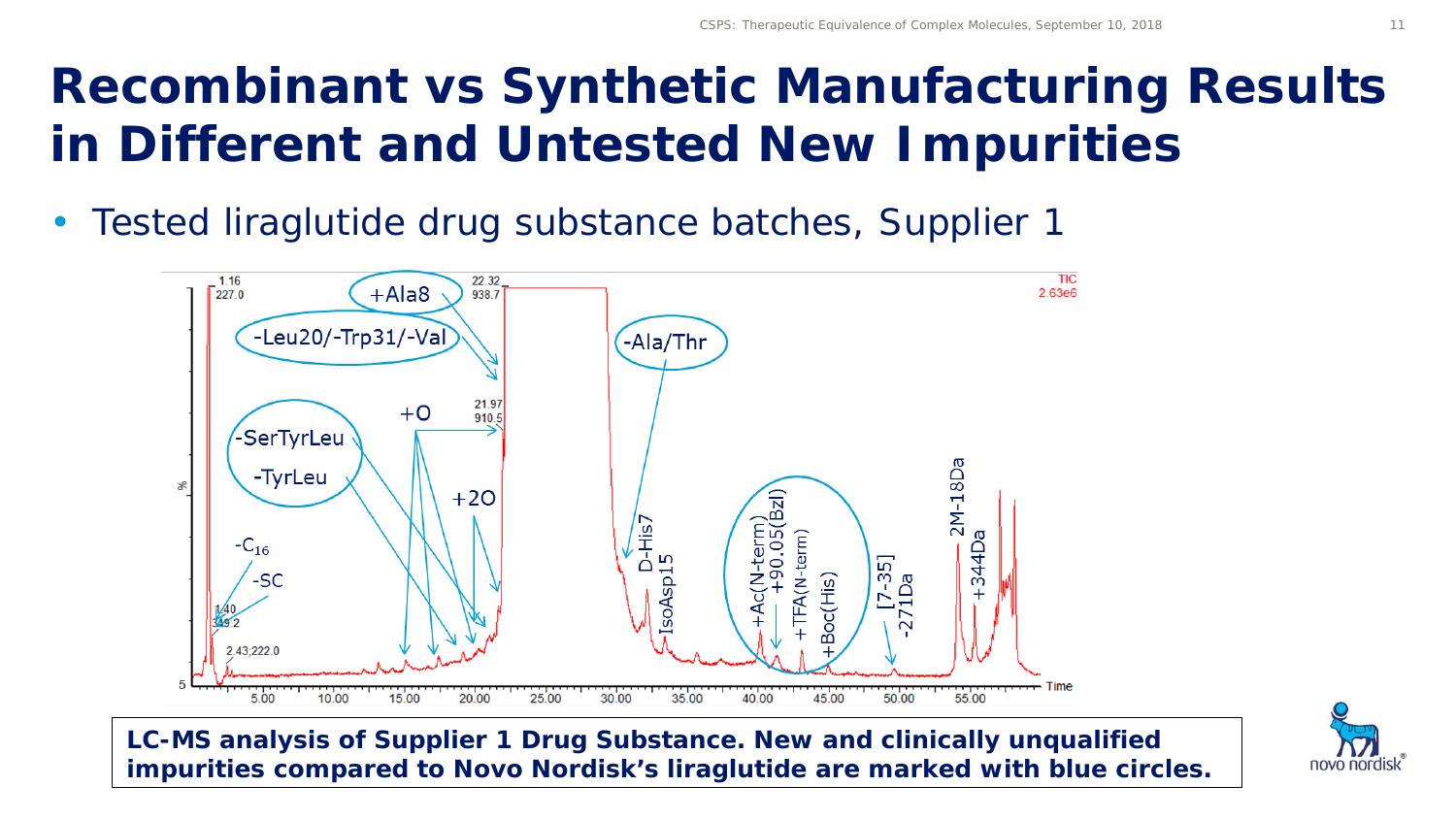• Tested liraglutide drug substance batches, Supplier 1



*LC-MS analysis of Supplier 1 Drug Substance. New and clinically unqualified impurities compared to Novo Nordisk's liraglutide are marked with blue circles.*

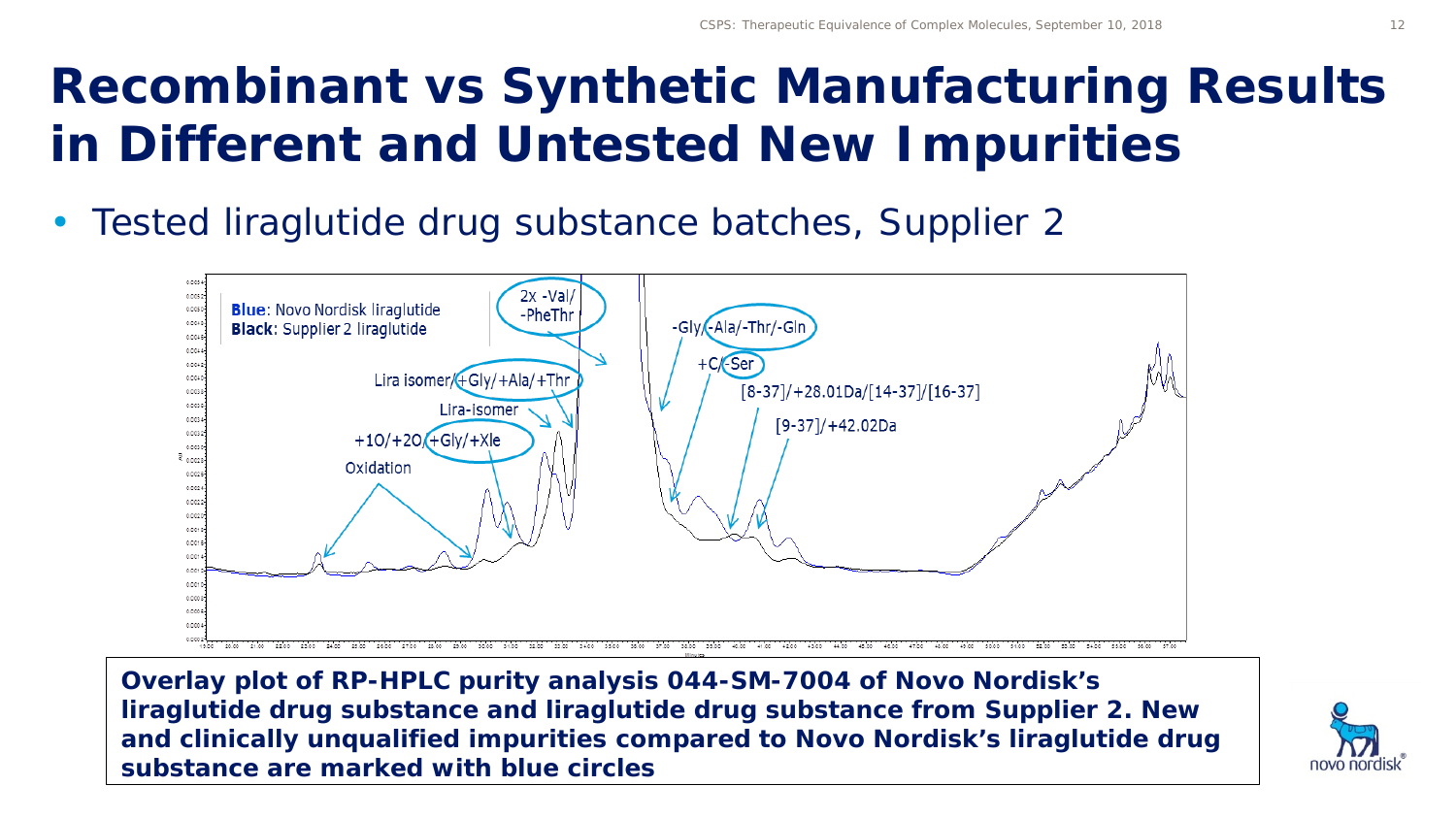• Tested liraglutide drug substance batches, Supplier 2



*Overlay plot of RP-HPLC purity analysis 044-SM-7004 of Novo Nordisk's liraglutide drug substance and liraglutide drug substance from Supplier 2. New and clinically unqualified impurities compared to Novo Nordisk's liraglutide drug substance are marked with blue circles*

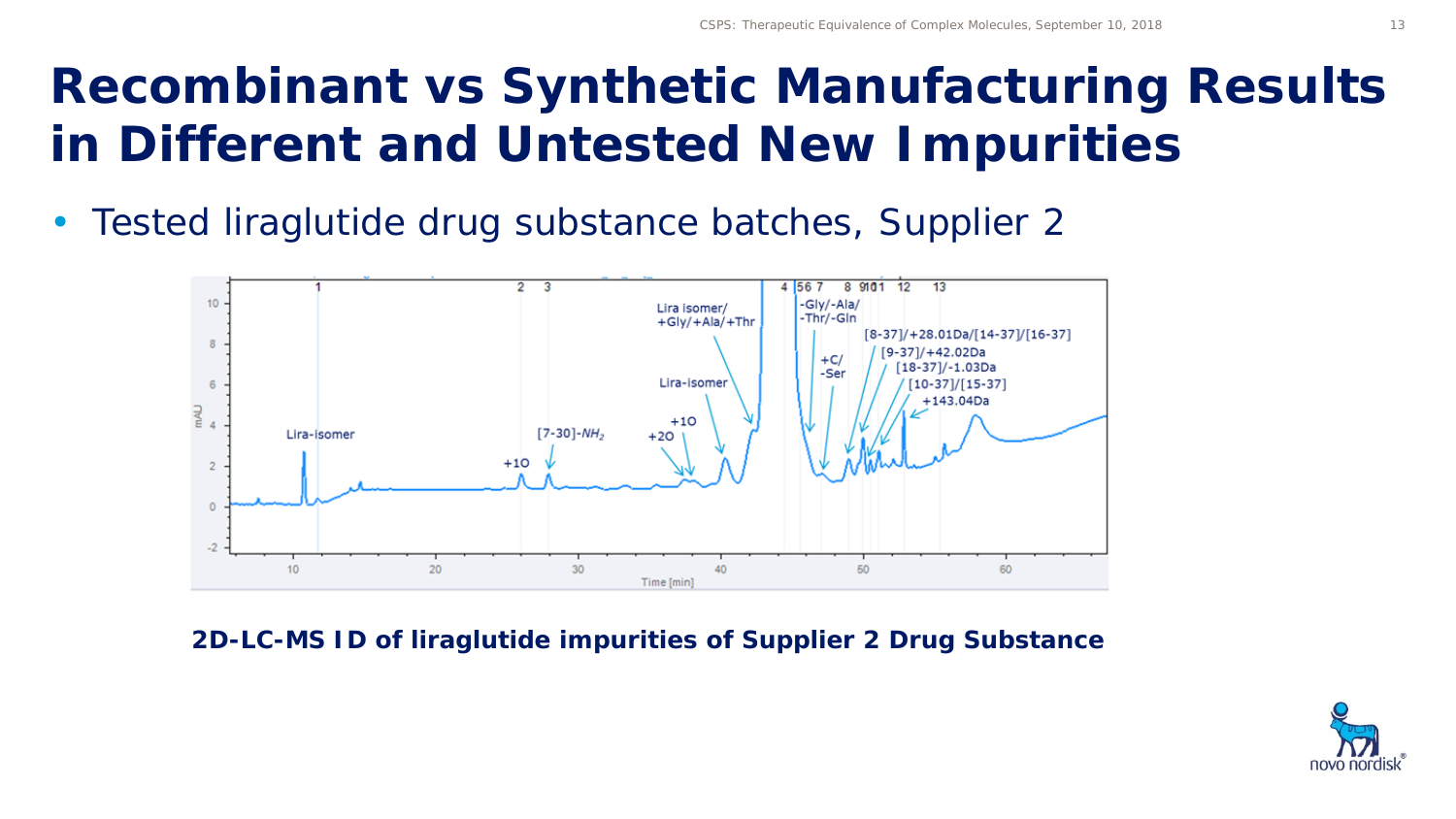• Tested liraglutide drug substance batches, Supplier 2



*2D-LC-MS ID of liraglutide impurities of Supplier 2 Drug Substance*

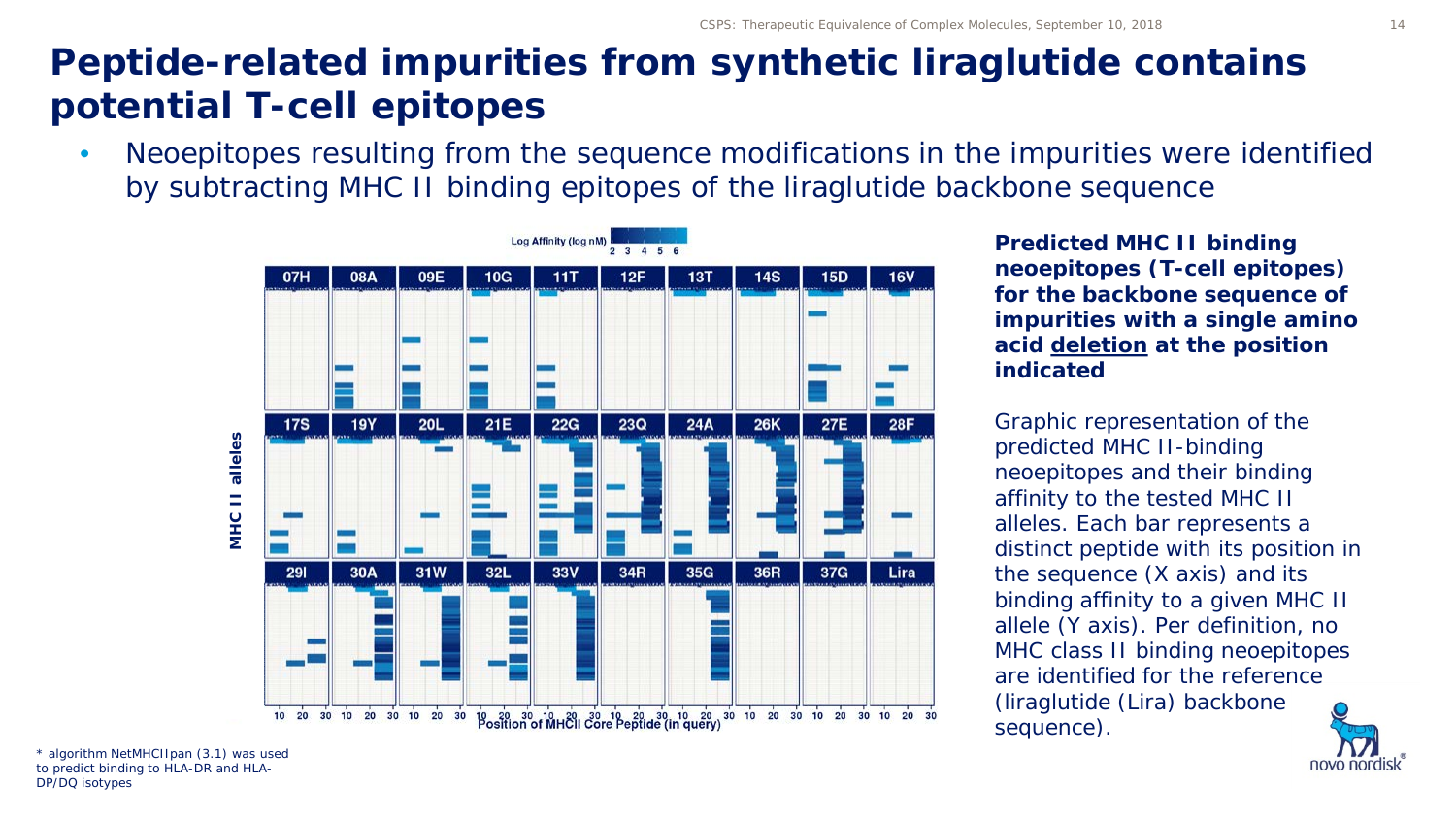#### **Peptide-related impurities from synthetic liraglutide contains potential T-cell epitopes**

• Neoepitopes resulting from the sequence modifications in the impurities were identified by subtracting MHC II binding epitopes of the liraglutide backbone sequence



*Predicted MHC II binding neoepitopes (T-cell epitopes) for the backbone sequence of impurities with a single amino acid deletion at the position indicated*

*Graphic representation of the predicted MHC II-binding neoepitopes and their binding affinity to the tested MHC II alleles. Each bar represents a distinct peptide with its position in the sequence (X axis) and its binding affinity to a given MHC II allele (Y axis). Per definition, no MHC class II binding neoepitopes are identified for the reference (liraglutide (Lira) backbone sequence).* 



\* algorithm NetMHCIIpan (3.1) was used to predict binding to HLA-DR and HLA-DP/DQ isotypes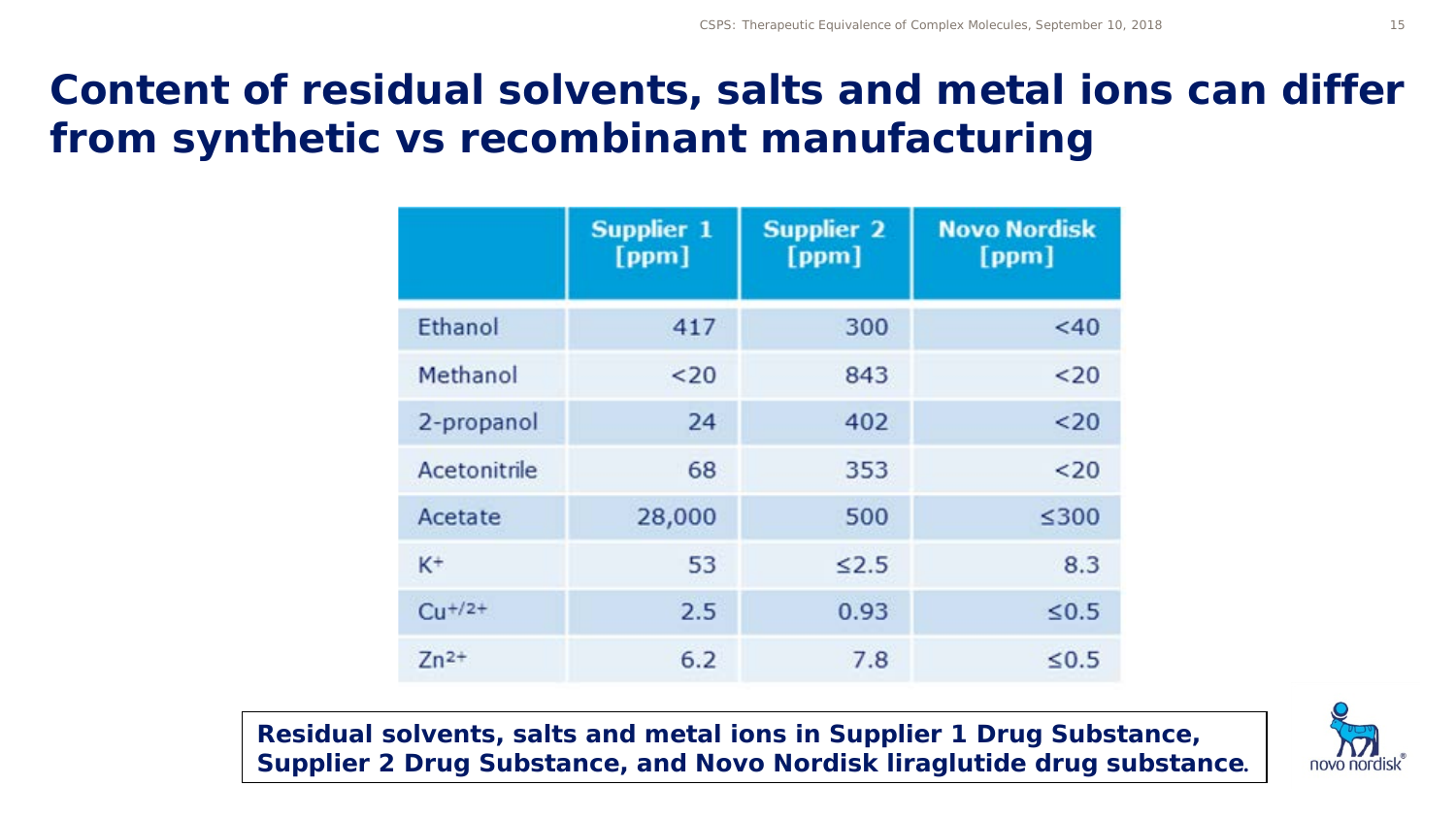#### **Content of residual solvents, salts and metal ions can differ from synthetic vs recombinant manufacturing**

|              | <b>Supplier 1</b><br>[ppm] | <b>Supplier 2</b><br>[ppm] | <b>Novo Nordisk</b><br>[ppm] |
|--------------|----------------------------|----------------------------|------------------------------|
| Ethanol      | 417                        | 300                        | <40                          |
| Methanol     | $20$                       | 843                        | $20$                         |
| 2-propanol   | 24                         | 402                        | $20$                         |
| Acetonitrile | 68                         | 353                        | $20$                         |
| Acetate      | 28,000                     | 500                        | ≤300                         |
| $K^+$        | 53                         | $\leq 2.5$                 | 8.3                          |
| $Cu + /2+$   | 2.5                        | 0.93                       | $\leq 0.5$                   |
| $Zn^{2+}$    | 6.2                        | 7.8                        | $\leq 0.5$                   |

*Residual solvents, salts and metal ions in Supplier 1 Drug Substance, Supplier 2 Drug Substance, and Novo Nordisk liraglutide drug substance.* 

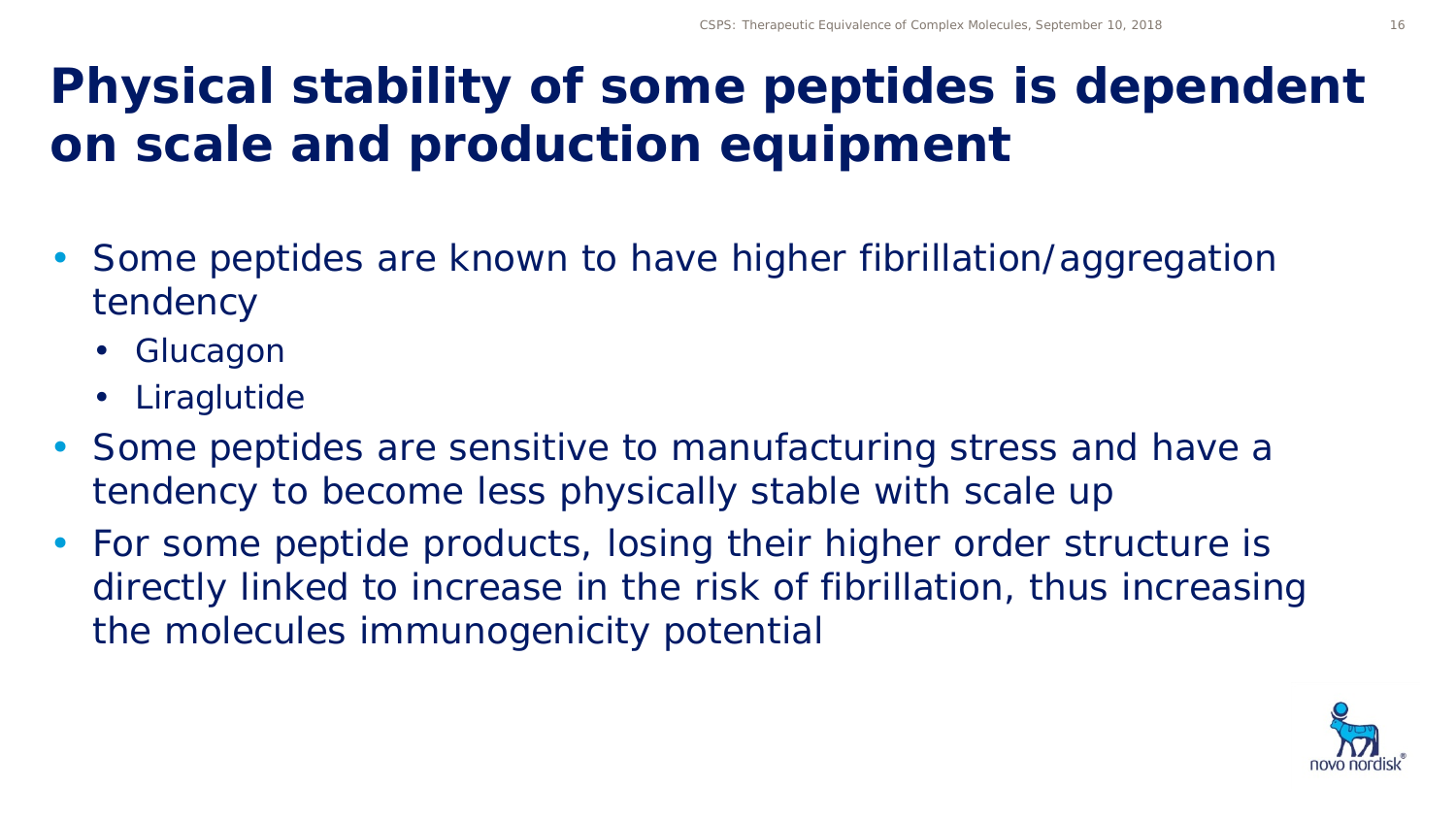## **Physical stability of some peptides is dependent on scale and production equipment**

- Some peptides are known to have higher fibrillation/aggregation tendency
	- Glucagon
	- Liraglutide
- Some peptides are sensitive to manufacturing stress and have a tendency to become less physically stable with scale up
- For some peptide products, losing their higher order structure is directly linked to increase in the risk of fibrillation, thus increasing the molecules immunogenicity potential

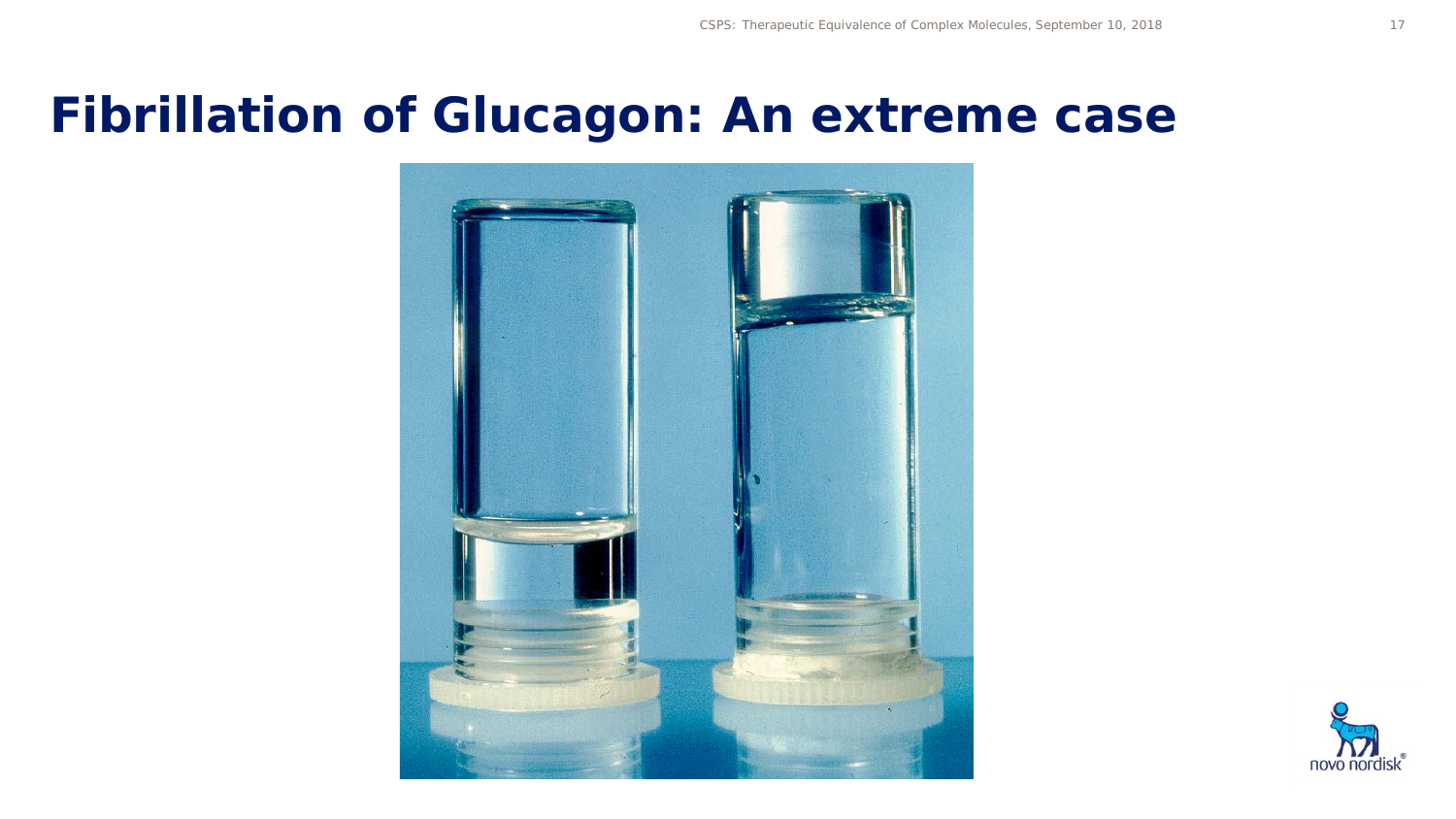#### **Fibrillation of Glucagon: An extreme case**



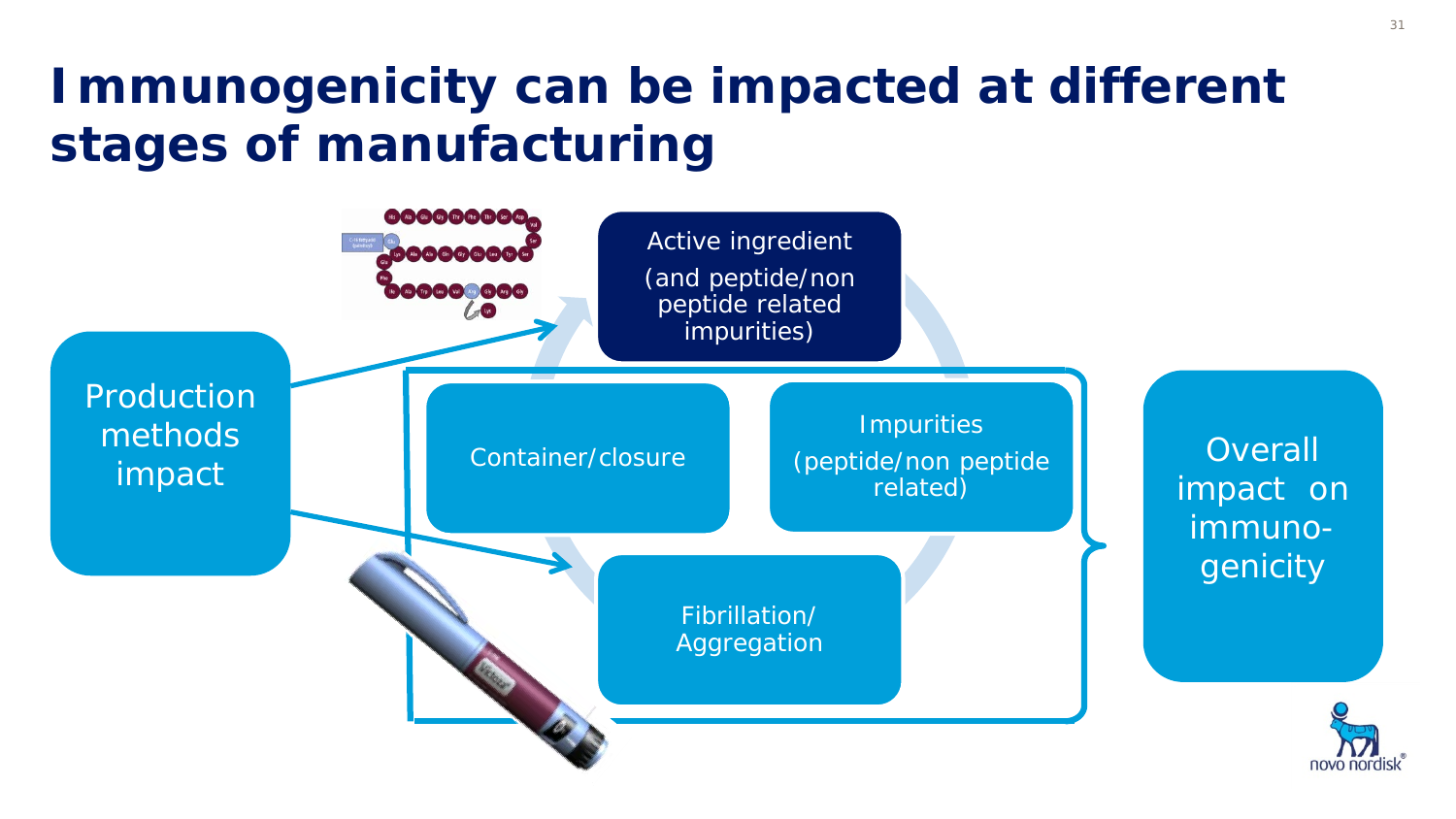## **Immunogenicity can be impacted at different stages of manufacturing**

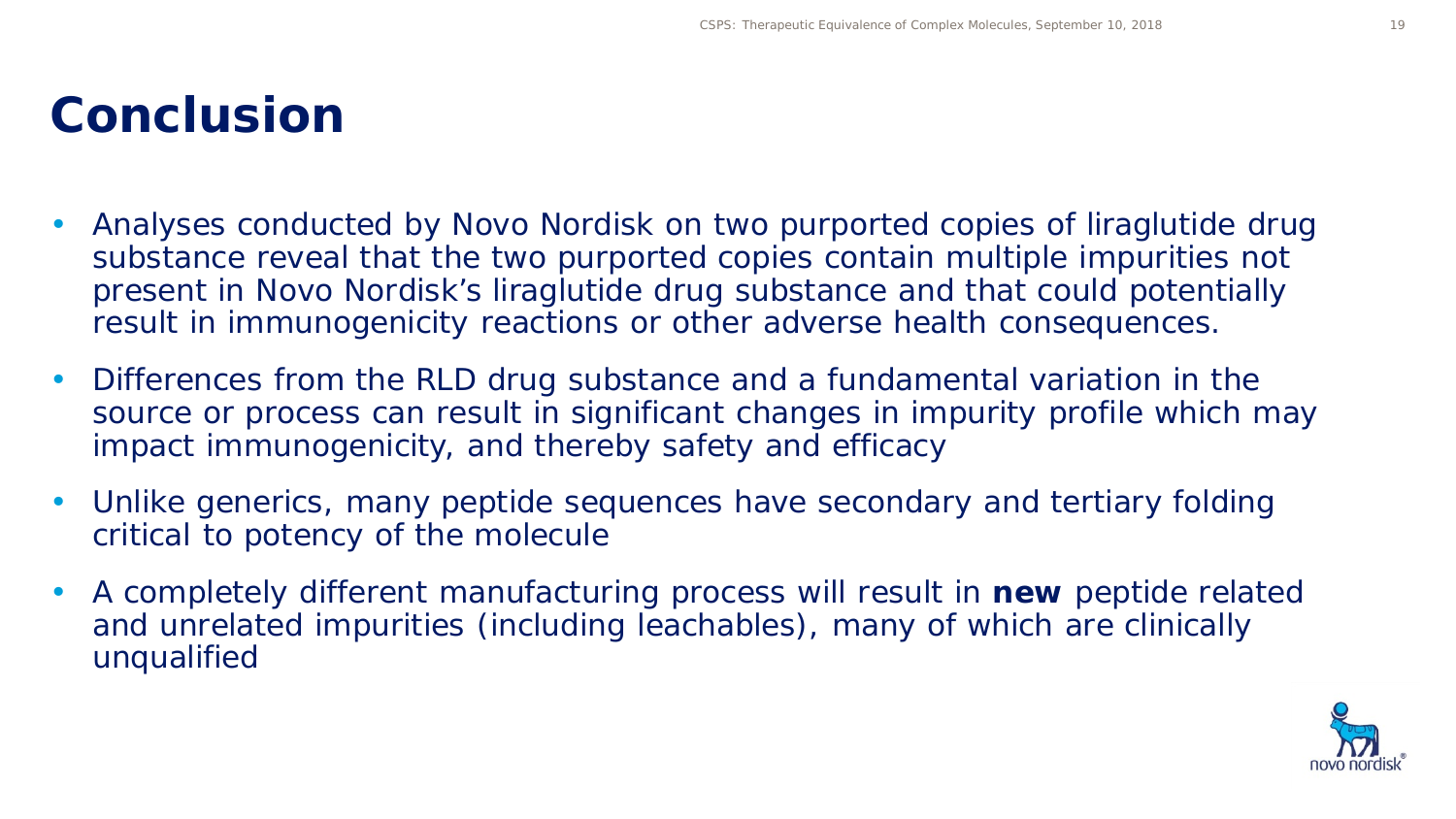#### **Conclusion**

- Analyses conducted by Novo Nordisk on two purported copies of liraglutide drug substance reveal that the two purported copies contain multiple impurities not present in Novo Nordisk's liraglutide drug substance and that could potentially result in immunogenicity reactions or other adverse health consequences.
- Differences from the RLD drug substance and a fundamental variation in the source or process can result in significant changes in impurity profile which may impact immunogenicity, and thereby safety and efficacy
- Unlike generics, many peptide sequences have secondary and tertiary folding critical to potency of the molecule
- A completely different manufacturing process will result in **new** peptide related and unrelated impurities (including leachables), many of which are clinically unqualified

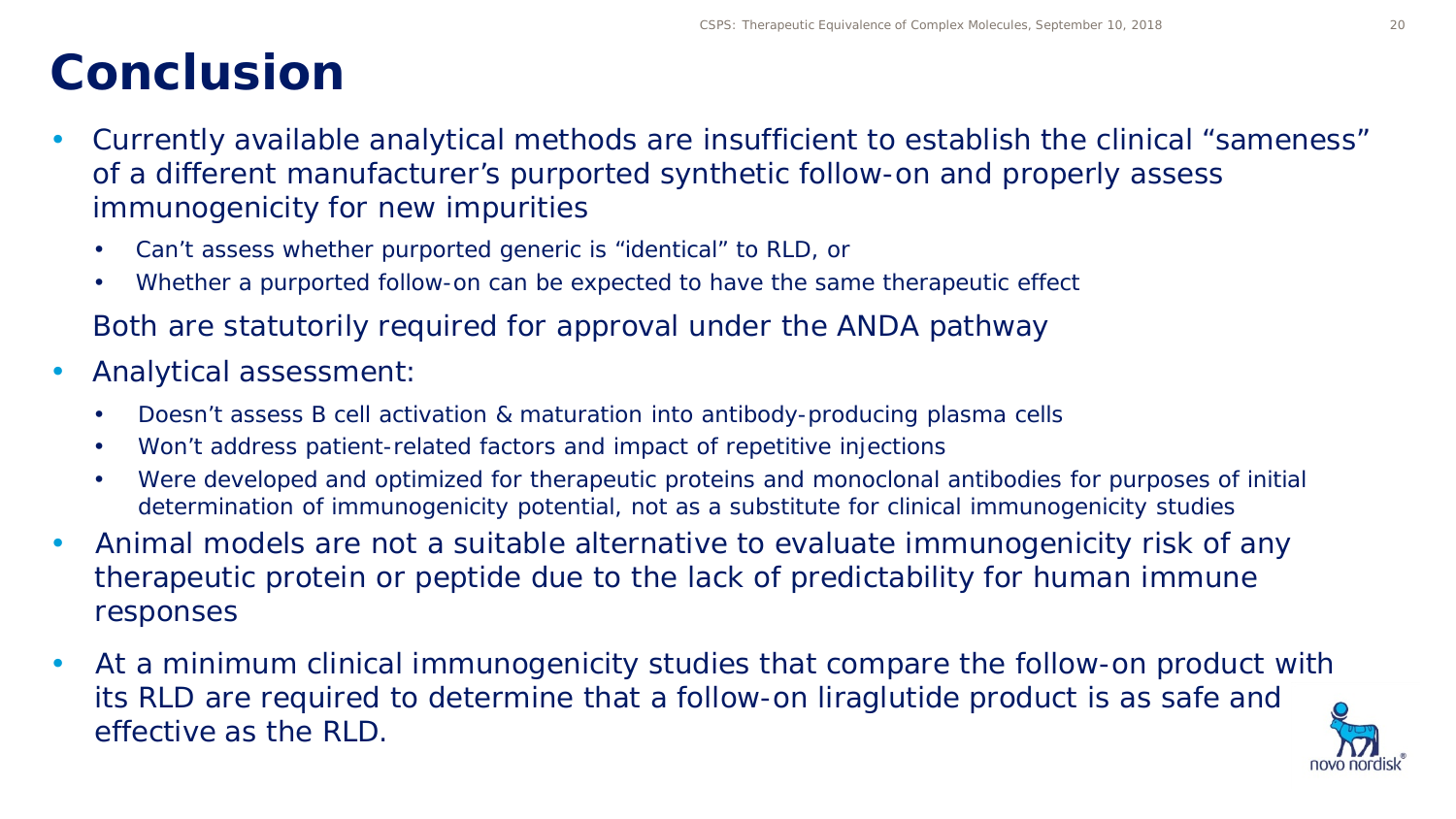### **Conclusion**

- Currently available analytical methods are insufficient to establish the clinical "sameness" of a different manufacturer's purported synthetic follow-on and properly assess immunogenicity for new impurities
	- Can't assess whether purported generic is "identical" to RLD, or
	- Whether a purported follow-on can be expected to have the same therapeutic effect
	- Both are statutorily required for approval under the ANDA pathway
- Analytical assessment:
	- Doesn't assess B cell activation & maturation into antibody-producing plasma cells
	- Won't address patient-related factors and impact of repetitive injections
	- Were developed and optimized for therapeutic proteins and monoclonal antibodies for purposes of initial determination of immunogenicity potential, not as a substitute for clinical immunogenicity studies
- Animal models are not a suitable alternative to evaluate immunogenicity risk of any therapeutic protein or peptide due to the lack of predictability for human immune responses
- At a minimum clinical immunogenicity studies that compare the follow-on product with its RLD are required to determine that a follow-on liraglutide product is as safe and effective as the RLD.